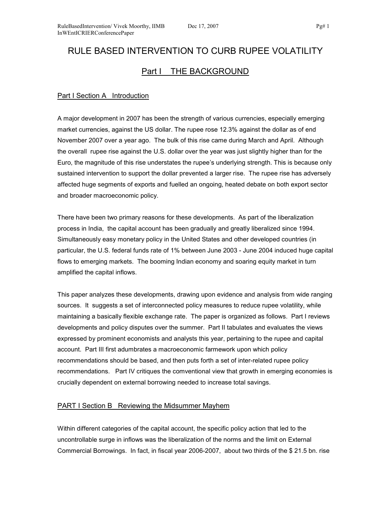# RULE BASED INTERVENTION TO CURB RUPEE VOLATILITY Part I THE BACKGROUND

### Part I Section A Introduction

A major development in 2007 has been the strength of various currencies, especially emerging market currencies, against the US dollar. The rupee rose 12.3% against the dollar as of end November 2007 over a year ago. The bulk of this rise came during March and April. Although the overall rupee rise against the U.S. dollar over the year was just slightly higher than for the Euro, the magnitude of this rise understates the rupee's underlying strength. This is because only sustained intervention to support the dollar prevented a larger rise. The rupee rise has adversely affected huge segments of exports and fuelled an ongoing, heated debate on both export sector and broader macroeconomic policy.

There have been two primary reasons for these developments. As part of the liberalization process in India, the capital account has been gradually and greatly liberalized since 1994. Simultaneously easy monetary policy in the United States and other developed countries (in particular, the U.S. federal funds rate of 1% between June 2003 - June 2004 induced huge capital flows to emerging markets. The booming Indian economy and soaring equity market in turn amplified the capital inflows.

This paper analyzes these developments, drawing upon evidence and analysis from wide ranging sources. It suggests a set of interconnected policy measures to reduce rupee volatility, while maintaining a basically flexible exchange rate. The paper is organized as follows. Part I reviews developments and policy disputes over the summer. Part II tabulates and evaluates the views expressed by prominent economists and analysts this year, pertaining to the rupee and capital account. Part III first adumbrates a macroeconomic farmework upon which policy recommendations should be based, and then puts forth a set of inter-related rupee policy recommendations. Part IV critiques the comventional view that growth in emerging economies is crucially dependent on external borrowing needed to increase total savings.

#### PART I Section B Reviewing the Midsummer Mayhem

Within different categories of the capital account, the specific policy action that led to the uncontrollable surge in inflows was the liberalization of the norms and the limit on External Commercial Borrowings. In fact, in fiscal year 2006-2007, about two thirds of the \$ 21.5 bn. rise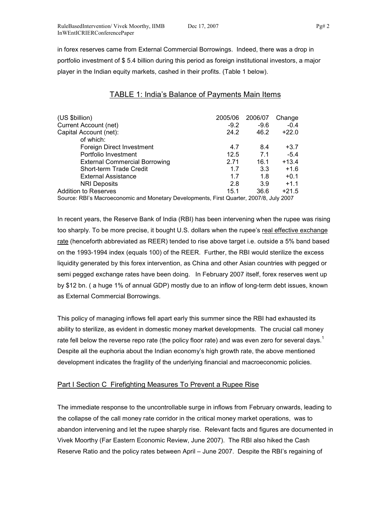in forex reserves came from External Commercial Borrowings. Indeed, there was a drop in portfolio investment of \$ 5.4 billion during this period as foreign institutional investors, a major player in the Indian equity markets, cashed in their profits. (Table 1 below).

# TABLE 1: India's Balance of Payments Main Items

| (US \$billion)<br>Current Account (net)                                                 | 2005/06<br>$-9.2$ | 2006/07<br>$-9.6$ | Change<br>$-0.4$ |  |  |  |
|-----------------------------------------------------------------------------------------|-------------------|-------------------|------------------|--|--|--|
| Capital Account (net):                                                                  | 24.2              | 46.2              | $+22.0$          |  |  |  |
| of which:                                                                               |                   |                   |                  |  |  |  |
| Foreign Direct Investment                                                               | 4.7               | 8.4               | $+3.7$           |  |  |  |
| Portfolio Investment                                                                    | 12.5              | 7.1               | $-5.4$           |  |  |  |
| <b>External Commercial Borrowing</b>                                                    | 2.71              | 16.1              | $+13.4$          |  |  |  |
| Short-term Trade Credit                                                                 | 1.7               | 3.3               | $+1.6$           |  |  |  |
| <b>External Assistance</b>                                                              | 1.7               | 1.8               | $+0.1$           |  |  |  |
| <b>NRI Deposits</b>                                                                     | 2.8               | 3.9               | $+1.1$           |  |  |  |
| <b>Addition to Reserves</b>                                                             | 15.1              | 36.6              | $+21.5$          |  |  |  |
| Source: RBI's Macroeconomic and Monetary Developments, First Quarter, 2007/8, July 2007 |                   |                   |                  |  |  |  |

In recent years, the Reserve Bank of India (RBI) has been intervening when the rupee was rising too sharply. To be more precise, it bought U.S. dollars when the rupee's real effective exchange rate (henceforth abbreviated as REER) tended to rise above target i.e. outside a 5% band based on the 1993-1994 index (equals 100) of the REER. Further, the RBI would sterilize the excess liquidity generated by this forex intervention, as China and other Asian countries with pegged or semi pegged exchange rates have been doing. In February 2007 itself, forex reserves went up by \$12 bn. ( a huge 1% of annual GDP) mostly due to an inflow of long-term debt issues, known as External Commercial Borrowings.

This policy of managing inflows fell apart early this summer since the RBI had exhausted its ability to sterilize, as evident in domestic money market developments. The crucial call money rate fell below the reverse repo rate (the policy floor rate) and was even zero for several days.<sup>1</sup> Despite all the euphoria about the Indian economy's high growth rate, the above mentioned development indicates the fragility of the underlying financial and macroeconomic policies.

#### Part I Section C Firefighting Measures To Prevent a Rupee Rise

The immediate response to the uncontrollable surge in inflows from February onwards, leading to the collapse of the call money rate corridor in the critical money market operations, was to abandon intervening and let the rupee sharply rise. Relevant facts and figures are documented in Vivek Moorthy (Far Eastern Economic Review, June 2007). The RBI also hiked the Cash Reserve Ratio and the policy rates between April – June 2007. Despite the RBI's regaining of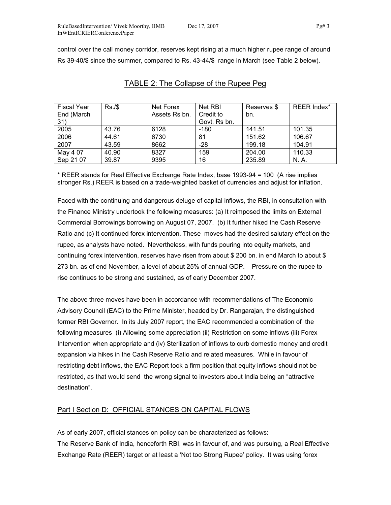control over the call money corridor, reserves kept rising at a much higher rupee range of around Rs 39-40/\$ since the summer, compared to Rs. 43-44/\$ range in March (see Table 2 below).

| <b>Fiscal Year</b> | Rs./\$ | Net Forex     | Net RBI      | Reserves \$ | REER Index* |
|--------------------|--------|---------------|--------------|-------------|-------------|
| End (March         |        | Assets Rs bn. | Credit to    | bn.         |             |
| 31)                |        |               | Govt. Rs bn. |             |             |
| 2005               | 43.76  | 6128          | -180         | 141.51      | 101.35      |
| 2006               | 44.61  | 6730          | 81           | 151.62      | 106.67      |
| 2007               | 43.59  | 8662          | $-28$        | 199.18      | 104.91      |
| May 4 07           | 40.90  | 8327          | 159          | 204.00      | 110.33      |
| Sep 21 07          | 39.87  | 9395          | 16           | 235.89      | N. A.       |

#### TABLE 2: The Collapse of the Rupee Peg

\* REER stands for Real Effective Exchange Rate Index, base 1993-94 = 100 (A rise implies stronger Rs.) REER is based on a trade-weighted basket of currencies and adjust for inflation.

Faced with the continuing and dangerous deluge of capital inflows, the RBI, in consultation with the Finance Ministry undertook the following measures: (a) It reimposed the limits on External Commercial Borrowings borrowing on August 07, 2007. (b) It further hiked the Cash Reserve Ratio and (c) It continued forex intervention. These moves had the desired salutary effect on the rupee, as analysts have noted. Nevertheless, with funds pouring into equity markets, and continuing forex intervention, reserves have risen from about \$ 200 bn. in end March to about \$ 273 bn. as of end November, a level of about 25% of annual GDP. Pressure on the rupee to rise continues to be strong and sustained, as of early December 2007.

The above three moves have been in accordance with recommendations of The Economic Advisory Council (EAC) to the Prime Minister, headed by Dr. Rangarajan, the distinguished former RBI Governor. In its July 2007 report, the EAC recommended a combination of the following measures (i) Allowing some appreciation (ii) Restriction on some inflows (iii) Forex Intervention when appropriate and (iv) Sterilization of inflows to curb domestic money and credit expansion via hikes in the Cash Reserve Ratio and related measures. While in favour of restricting debt inflows, the EAC Report took a firm position that equity inflows should not be restricted, as that would send the wrong signal to investors about India being an "attractive destination".

#### Part I Section D: OFFICIAL STANCES ON CAPITAL FLOWS

As of early 2007, official stances on policy can be characterized as follows: The Reserve Bank of India, henceforth RBI, was in favour of, and was pursuing, a Real Effective Exchange Rate (REER) target or at least a 'Not too Strong Rupee' policy. It was using forex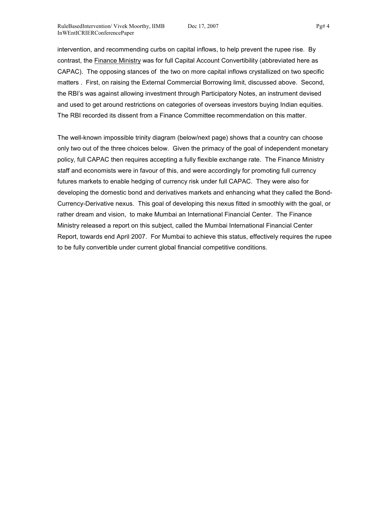intervention, and recommending curbs on capital inflows, to help prevent the rupee rise. By contrast, the Finance Ministry was for full Capital Account Convertibility (abbreviated here as CAPAC). The opposing stances of the two on more capital inflows crystallized on two specific matters . First, on raising the External Commercial Borrowing limit, discussed above. Second, the RBI's was against allowing investment through Participatory Notes, an instrument devised and used to get around restrictions on categories of overseas investors buying Indian equities. The RBI recorded its dissent from a Finance Committee recommendation on this matter.

The well-known impossible trinity diagram (below/next page) shows that a country can choose only two out of the three choices below. Given the primacy of the goal of independent monetary policy, full CAPAC then requires accepting a fully flexible exchange rate. The Finance Ministry staff and economists were in favour of this, and were accordingly for promoting full currency futures markets to enable hedging of currency risk under full CAPAC. They were also for developing the domestic bond and derivatives markets and enhancing what they called the Bond-Currency-Derivative nexus. This goal of developing this nexus fitted in smoothly with the goal, or rather dream and vision, to make Mumbai an International Financial Center. The Finance Ministry released a report on this subject, called the Mumbai International Financial Center Report, towards end April 2007. For Mumbai to achieve this status, effectively requires the rupee to be fully convertible under current global financial competitive conditions.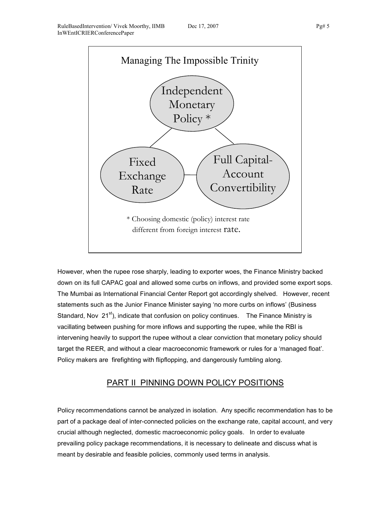

However, when the rupee rose sharply, leading to exporter woes, the Finance Ministry backed down on its full CAPAC goal and allowed some curbs on inflows, and provided some export sops. The Mumbai as International Financial Center Report got accordingly shelved. However, recent statements such as the Junior Finance Minister saying 'no more curbs on inflows' (Business Standard, Nov  $21^{st}$ ), indicate that confusion on policy continues. The Finance Ministry is vacillating between pushing for more inflows and supporting the rupee, while the RBI is intervening heavily to support the rupee without a clear conviction that monetary policy should target the REER, and without a clear macroeconomic framework or rules for a 'managed float'. Policy makers are firefighting with flipflopping, and dangerously fumbling along.

# PART II PINNING DOWN POLICY POSITIONS

Policy recommendations cannot be analyzed in isolation. Any specific recommendation has to be part of a package deal of inter-connected policies on the exchange rate, capital account, and very crucial although neglected, domestic macroeconomic policy goals. In order to evaluate prevailing policy package recommendations, it is necessary to delineate and discuss what is meant by desirable and feasible policies, commonly used terms in analysis.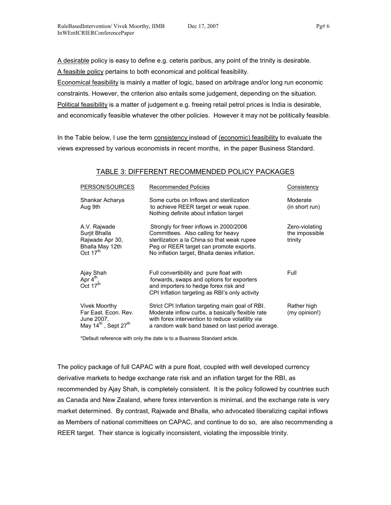A desirable policy is easy to define e.g. ceteris paribus, any point of the trinity is desirable. A feasible policy pertains to both economical and political feasibility.

Economical feasibility is mainly a matter of logic, based on arbitrage and/or long run economic constraints. However, the criterion also entails some judgement, depending on the situation. Political feasibility is a matter of judgement e.g. freeing retail petrol prices is India is desirable, and economically feasible whatever the other policies. However it may not be politically feasible.

In the Table below, I use the term consistency instead of (economic) feasibility to evaluate the views expressed by various economists in recent months, in the paper Business Standard.

#### TABLE 3: DIFFERENT RECOMMENDED POLICY PACKAGES

| PERSON/SOURCES                                                                                      | <b>Recommended Policies</b>                                                                                                                                                                                              | Consistency                                 |
|-----------------------------------------------------------------------------------------------------|--------------------------------------------------------------------------------------------------------------------------------------------------------------------------------------------------------------------------|---------------------------------------------|
| Shankar Acharya<br>Aug 9th                                                                          | Some curbs on Inflows and sterilization<br>to achieve REER target or weak rupee.<br>Nothing definite about inflation target                                                                                              | Moderate<br>(in short run)                  |
| A.V. Rajwade<br>Surjit Bhalla<br>Rajwade Apr 30,<br>Bhalla May 12th<br>Oct 17 <sup>th</sup>         | Strongly for freer inflows in 2000/2006<br>Committees. Also calling for heavy<br>sterilization a la China so that weak rupee<br>Peg or REER target can promote exports.<br>No inflation target, Bhalla denies inflation. | Zero-violating<br>the impossible<br>trinity |
| Ajay Shah<br>Apr $4^{\text{th}}$ ,<br>Oct 17 <sup>th</sup>                                          | Full convertibility and pure float with<br>forwards, swaps and options for exporters<br>and importers to hedge forex risk and<br>CPI Inflation targeting as RBI's only activity                                          | Full                                        |
| Vivek Moorthy<br>Far East. Econ. Rev.<br>June 2007.<br>May 14 <sup>th</sup> , Sept 27 <sup>th</sup> | Strict CPI Inflation targeting main goal of RBI.<br>Moderate inflow curbs, a basically flexible rate<br>with forex intervention to reduce volatility via<br>a random walk band based on last period average.             | Rather high<br>(my opinion!)                |

\*Default reference with only the date is to a Business Standard article.

The policy package of full CAPAC with a pure float, coupled with well developed currency derivative markets to hedge exchange rate risk and an inflation target for the RBI, as recommended by Ajay Shah, is completely consistent. It is the policy followed by countries such as Canada and New Zealand, where forex intervention is minimal, and the exchange rate is very market determined. By contrast, Rajwade and Bhalla, who advocated liberalizing capital inflows as Members of national committees on CAPAC, and continue to do so, are also recommending a REER target. Their stance is logically inconsistent, violating the impossible trinity.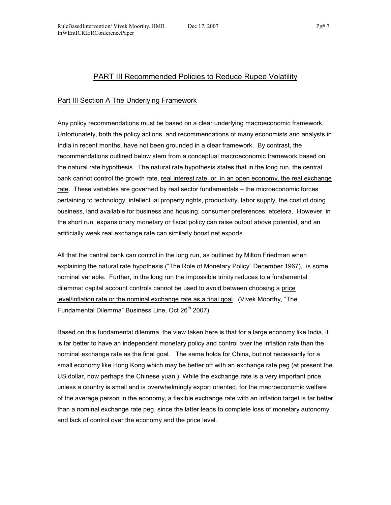# PART III Recommended Policies to Reduce Rupee Volatility

#### Part III Section A The Underlying Framework

Any policy recommendations must be based on a clear underlying macroeconomic framework. Unfortunately, both the policy actions, and recommendations of many economists and analysts in India in recent months, have not been grounded in a clear framework. By contrast, the recommendations outlined below stem from a conceptual macroeconomic framework based on the natural rate hypothesis. The natural rate hypothesis states that in the long run, the central bank cannot control the growth rate, real interest rate, or in an open economy, the real exchange rate. These variables are governed by real sector fundamentals – the microeconomic forces pertaining to technology, intellectual property rights, productivity, labor supply, the cost of doing business, land available for business and housing, consumer preferences, etcetera. However, in the short run, expansionary monetary or fiscal policy can raise output above potential, and an artificially weak real exchange rate can similarly boost net exports.

All that the central bank can control in the long run, as outlined by Milton Friedman when explaining the natural rate hypothesis ("The Role of Monetary Policy" December 1967), is some nominal variable. Further, in the long run the impossible trinity reduces to a fundamental dilemma: capital account controls cannot be used to avoid between choosing a price level/inflation rate or the nominal exchange rate as a final goal. (Vivek Moorthy, "The Fundamental Dilemma" Business Line, Oct 26<sup>th</sup> 2007)

Based on this fundamental dilemma, the view taken here is that for a large economy like India, it is far better to have an independent monetary policy and control over the inflation rate than the nominal exchange rate as the final goal. The same holds for China, but not necessarily for a small economy like Hong Kong which may be better off with an exchange rate peg (at present the US dollar, now perhaps the Chinese yuan.) While the exchange rate is a very important price, unless a country is small and is overwhelmingly export oriented, for the macroeconomic welfare of the average person in the economy, a flexible exchange rate with an inflation target is far better than a nominal exchange rate peg, since the latter leads to complete loss of monetary autonomy and lack of control over the economy and the price level.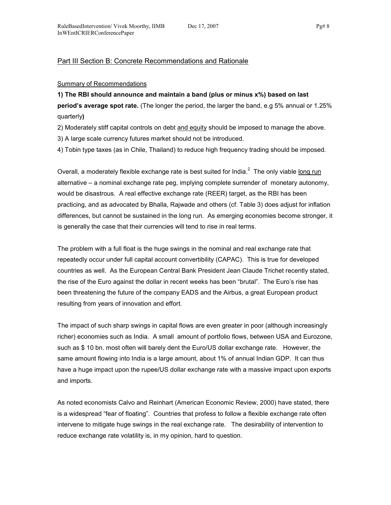#### Part III Section B: Concrete Recommendations and Rationale

#### Summary of Recommendations

1) The RBI should announce and maintain a band (plus or minus x%) based on last period's average spot rate. (The longer the period, the larger the band, e.g 5% annual or 1.25% quarterly)

2) Moderately stiff capital controls on debt and equity should be imposed to manage the above.

3) A large scale currency futures market should not be introduced.

4) Tobin type taxes (as in Chile, Thailand) to reduce high frequency trading should be imposed.

Overall, a moderately flexible exchange rate is best suited for India.<sup>2</sup> The only viable long run alternative – a nominal exchange rate peg, implying complete surrender of monetary autonomy, would be disastrous. A real effective exchange rate (REER) target, as the RBI has been practicing, and as advocated by Bhalla, Rajwade and others (cf. Table 3) does adjust for inflation differences, but cannot be sustained in the long run. As emerging economies become stronger, it is generally the case that their currencies will tend to rise in real terms.

The problem with a full float is the huge swings in the nominal and real exchange rate that repeatedly occur under full capital account convertibility (CAPAC). This is true for developed countries as well. As the European Central Bank President Jean Claude Trichet recently stated, the rise of the Euro against the dollar in recent weeks has been "brutal". The Euro's rise has been threatening the future of the company EADS and the Airbus, a great European product resulting from years of innovation and effort.

The impact of such sharp swings in capital flows are even greater in poor (although increasingly richer) economies such as India. A small amount of portfolio flows, between USA and Eurozone, such as \$ 10 bn. most often will barely dent the Euro/US dollar exchange rate. However, the same amount flowing into India is a large amount, about 1% of annual Indian GDP. It can thus have a huge impact upon the rupee/US dollar exchange rate with a massive impact upon exports and imports.

As noted economists Calvo and Reinhart (American Economic Review, 2000) have stated, there is a widespread "fear of floating". Countries that profess to follow a flexible exchange rate often intervene to mitigate huge swings in the real exchange rate. The desirability of intervention to reduce exchange rate volatility is, in my opinion, hard to question.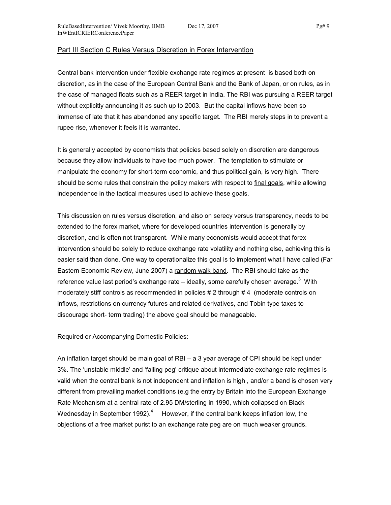#### Part III Section C Rules Versus Discretion in Forex Intervention

Central bank intervention under flexible exchange rate regimes at present is based both on discretion, as in the case of the European Central Bank and the Bank of Japan, or on rules, as in the case of managed floats such as a REER target in India. The RBI was pursuing a REER target without explicitly announcing it as such up to 2003. But the capital inflows have been so immense of late that it has abandoned any specific target. The RBI merely steps in to prevent a rupee rise, whenever it feels it is warranted.

It is generally accepted by economists that policies based solely on discretion are dangerous because they allow individuals to have too much power. The temptation to stimulate or manipulate the economy for short-term economic, and thus political gain, is very high. There should be some rules that constrain the policy makers with respect to final goals, while allowing independence in the tactical measures used to achieve these goals.

This discussion on rules versus discretion, and also on serecy versus transparency, needs to be extended to the forex market, where for developed countries intervention is generally by discretion, and is often not transparent. While many economists would accept that forex intervention should be solely to reduce exchange rate volatility and nothing else, achieving this is easier said than done. One way to operationalize this goal is to implement what I have called (Far Eastern Economic Review, June 2007) a random walk band. The RBI should take as the reference value last period's exchange rate – ideally, some carefully chosen average.<sup>3</sup> With moderately stiff controls as recommended in policies # 2 through # 4 (moderate controls on inflows, restrictions on currency futures and related derivatives, and Tobin type taxes to discourage short- term trading) the above goal should be manageable.

#### Required or Accompanying Domestic Policies:

An inflation target should be main goal of RBI – a 3 year average of CPI should be kept under 3%. The 'unstable middle' and 'falling peg' critique about intermediate exchange rate regimes is valid when the central bank is not independent and inflation is high , and/or a band is chosen very different from prevailing market conditions (e.g the entry by Britain into the European Exchange Rate Mechanism at a central rate of 2.95 DM/sterling in 1990, which collapsed on Black Wednesday in September 1992).<sup>4</sup> However, if the central bank keeps inflation low, the objections of a free market purist to an exchange rate peg are on much weaker grounds.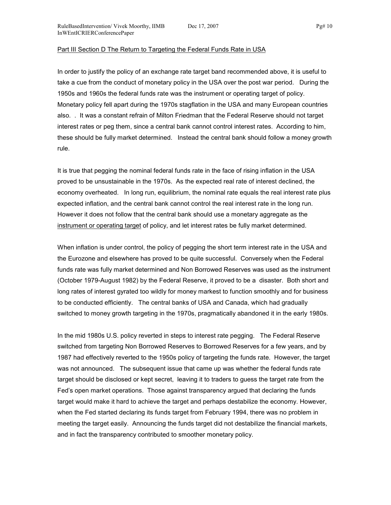#### Part III Section D The Return to Targeting the Federal Funds Rate in USA

In order to justify the policy of an exchange rate target band recommended above, it is useful to take a cue from the conduct of monetary policy in the USA over the post war period. During the 1950s and 1960s the federal funds rate was the instrument or operating target of policy. Monetary policy fell apart during the 1970s stagflation in the USA and many European countries also. . It was a constant refrain of Milton Friedman that the Federal Reserve should not target interest rates or peg them, since a central bank cannot control interest rates. According to him, these should be fully market determined. Instead the central bank should follow a money growth rule.

It is true that pegging the nominal federal funds rate in the face of rising inflation in the USA proved to be unsustainable in the 1970s. As the expected real rate of interest declined, the economy overheated. In long run, equilibrium, the nominal rate equals the real interest rate plus expected inflation, and the central bank cannot control the real interest rate in the long run. However it does not follow that the central bank should use a monetary aggregate as the instrument or operating target of policy, and let interest rates be fully market determined.

When inflation is under control, the policy of pegging the short term interest rate in the USA and the Eurozone and elsewhere has proved to be quite successful. Conversely when the Federal funds rate was fully market determined and Non Borrowed Reserves was used as the instrument (October 1979-August 1982) by the Federal Reserve, it proved to be a disaster. Both short and long rates of interest gyrated too wildly for money markest to function smoothly and for business to be conducted efficiently. The central banks of USA and Canada, which had gradually switched to money growth targeting in the 1970s, pragmatically abandoned it in the early 1980s.

In the mid 1980s U.S. policy reverted in steps to interest rate pegging. The Federal Reserve switched from targeting Non Borrowed Reserves to Borrowed Reserves for a few years, and by 1987 had effectively reverted to the 1950s policy of targeting the funds rate. However, the target was not announced. The subsequent issue that came up was whether the federal funds rate target should be disclosed or kept secret, leaving it to traders to guess the target rate from the Fed's open market operations. Those against transparency argued that declaring the funds target would make it hard to achieve the target and perhaps destabilize the economy. However, when the Fed started declaring its funds target from February 1994, there was no problem in meeting the target easily. Announcing the funds target did not destabilize the financial markets, and in fact the transparency contributed to smoother monetary policy.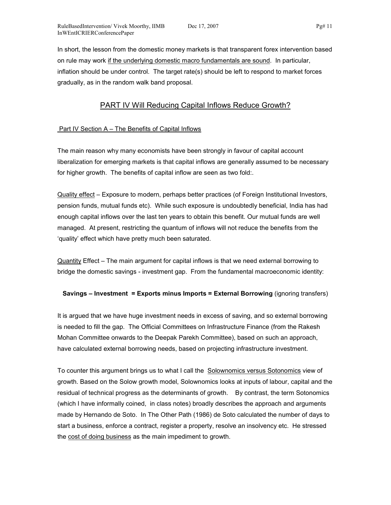In short, the lesson from the domestic money markets is that transparent forex intervention based on rule may work if the underlying domestic macro fundamentals are sound. In particular, inflation should be under control. The target rate(s) should be left to respond to market forces gradually, as in the random walk band proposal.

# PART IV Will Reducing Capital Inflows Reduce Growth?

#### Part IV Section A – The Benefits of Capital Inflows

The main reason why many economists have been strongly in favour of capital account liberalization for emerging markets is that capital inflows are generally assumed to be necessary for higher growth. The benefits of capital inflow are seen as two fold:.

Quality effect – Exposure to modern, perhaps better practices (of Foreign Institutional Investors, pension funds, mutual funds etc). While such exposure is undoubtedly beneficial, India has had enough capital inflows over the last ten years to obtain this benefit. Our mutual funds are well managed. At present, restricting the quantum of inflows will not reduce the benefits from the 'quality' effect which have pretty much been saturated.

Quantity Effect – The main argument for capital inflows is that we need external borrowing to bridge the domestic savings - investment gap. From the fundamental macroeconomic identity:

#### Savings – Investment = Exports minus Imports = External Borrowing (ignoring transfers)

It is argued that we have huge investment needs in excess of saving, and so external borrowing is needed to fill the gap. The Official Committees on Infrastructure Finance (from the Rakesh Mohan Committee onwards to the Deepak Parekh Committee), based on such an approach, have calculated external borrowing needs, based on projecting infrastructure investment.

To counter this argument brings us to what I call the Solownomics versus Sotonomics view of growth. Based on the Solow growth model, Solownomics looks at inputs of labour, capital and the residual of technical progress as the determinants of growth. By contrast, the term Sotonomics (which I have informally coined, in class notes) broadly describes the approach and arguments made by Hernando de Soto. In The Other Path (1986) de Soto calculated the number of days to start a business, enforce a contract, register a property, resolve an insolvency etc. He stressed the cost of doing business as the main impediment to growth.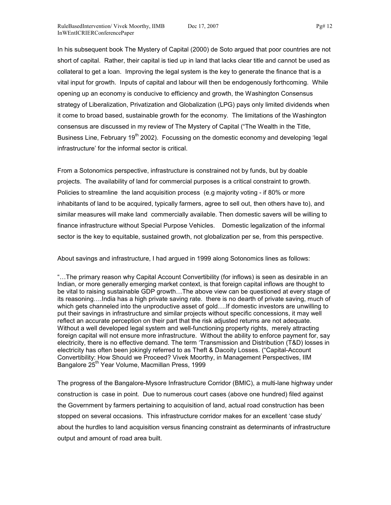In his subsequent book The Mystery of Capital (2000) de Soto argued that poor countries are not short of capital. Rather, their capital is tied up in land that lacks clear title and cannot be used as collateral to get a loan. Improving the legal system is the key to generate the finance that is a vital input for growth. Inputs of capital and labour will then be endogenously forthcoming. While opening up an economy is conducive to efficiency and growth, the Washington Consensus strategy of Liberalization, Privatization and Globalization (LPG) pays only limited dividends when it come to broad based, sustainable growth for the economy. The limitations of the Washington consensus are discussed in my review of The Mystery of Capital ("The Wealth in the Title, Business Line, February 19<sup>th</sup> 2002). Focussing on the domestic economy and developing 'legal infrastructure' for the informal sector is critical.

From a Sotonomics perspective, infrastructure is constrained not by funds, but by doable projects. The availability of land for commercial purposes is a critical constraint to growth. Policies to streamline the land acquisition process (e.g majority voting - if 80% or more inhabitants of land to be acquired, typically farmers, agree to sell out, then others have to), and similar measures will make land commercially available. Then domestic savers will be willing to finance infrastructure without Special Purpose Vehicles. Domestic legalization of the informal sector is the key to equitable, sustained growth, not globalization per se, from this perspective.

About savings and infrastructure, I had argued in 1999 along Sotonomics lines as follows:

"…The primary reason why Capital Account Convertibility (for inflows) is seen as desirable in an Indian, or more generally emerging market context, is that foreign capital inflows are thought to be vital to raising sustainable GDP growth…The above view can be questioned at every stage of its reasoning….India has a high private saving rate. there is no dearth of private saving, much of which gets channeled into the unproductive asset of gold….If domestic investors are unwilling to put their savings in infrastructure and similar projects without specific concessions, it may well reflect an accurate perception on their part that the risk adjusted returns are not adequate. Without a well developed legal system and well-functioning property rights, merely attracting foreign capital will not ensure more infrastructure. Without the ability to enforce payment for, say electricity, there is no effective demand. The term 'Transmission and Distribution (T&D) losses in electricity has often been jokingly referred to as Theft & Dacoity Losses. ("Capital-Account Convertibility: How Should we Proceed? Vivek Moorthy, in Management Perspectives, IIM Bangalore 25<sup>th</sup> Year Volume, Macmillan Press, 1999

The progress of the Bangalore-Mysore Infrastructure Corridor (BMIC), a multi-lane highway under construction is case in point. Due to numerous court cases (above one hundred) filed against the Government by farmers pertaining to acquisition of land, actual road construction has been stopped on several occasions. This infrastructure corridor makes for an excellent 'case study' about the hurdles to land acquisition versus financing constraint as determinants of infrastructure output and amount of road area built.